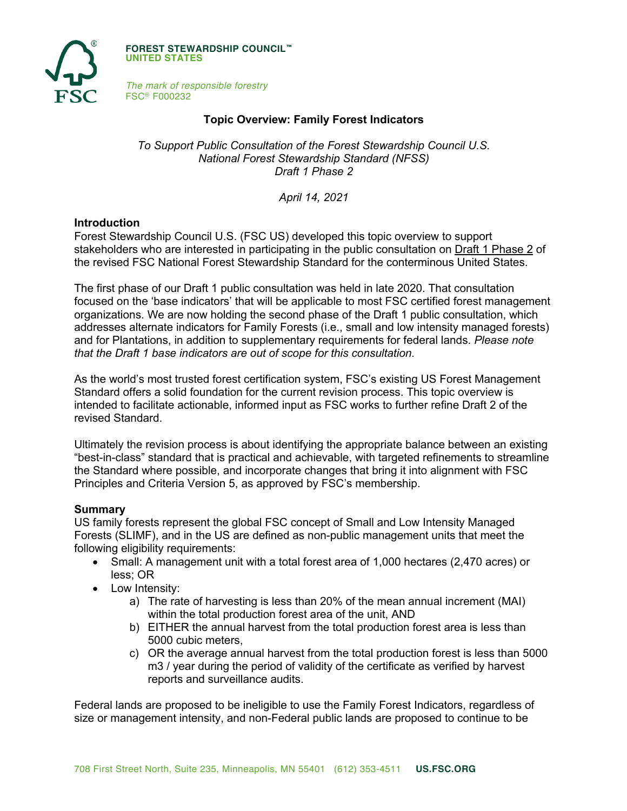

**FOREST STEWARDSHIP COUNCIL™ UNITED STATES**

*The mark of responsible forestry* FSC® F000232

### **Topic Overview: Family Forest Indicators**

*To Support Public Consultation of the Forest Stewardship Council U.S. National Forest Stewardship Standard (NFSS) Draft 1 Phase 2*

*April 14, 2021*

#### **Introduction**

Forest Stewardship Council U.S. (FSC US) developed this topic overview to support stakeholders who are interested in participating in the public consultation on Draft 1 Phase 2 of the revised FSC National Forest Stewardship Standard for the conterminous United States.

The first phase of our Draft 1 public consultation was held in late 2020. That consultation focused on the 'base indicators' that will be applicable to most FSC certified forest management organizations. We are now holding the second phase of the Draft 1 public consultation, which addresses alternate indicators for Family Forests (i.e., small and low intensity managed forests) and for Plantations, in addition to supplementary requirements for federal lands. *Please note that the Draft 1 base indicators are out of scope for this consultation.*

As the world's most trusted forest certification system, FSC's existing US Forest Management Standard offers a solid foundation for the current revision process. This topic overview is intended to facilitate actionable, informed input as FSC works to further refine Draft 2 of the revised Standard.

Ultimately the revision process is about identifying the appropriate balance between an existing "best-in-class" standard that is practical and achievable, with targeted refinements to streamline the Standard where possible, and incorporate changes that bring it into alignment with FSC Principles and Criteria Version 5, as approved by FSC's membership.

#### **Summary**

US family forests represent the global FSC concept of Small and Low Intensity Managed Forests (SLIMF), and in the US are defined as non-public management units that meet the following eligibility requirements:

- Small: A management unit with a total forest area of 1,000 hectares (2,470 acres) or less; OR
- Low Intensity:
	- a) The rate of harvesting is less than 20% of the mean annual increment (MAI) within the total production forest area of the unit, AND
	- b) EITHER the annual harvest from the total production forest area is less than 5000 cubic meters,
	- c) OR the average annual harvest from the total production forest is less than 5000 m3 / year during the period of validity of the certificate as verified by harvest reports and surveillance audits.

Federal lands are proposed to be ineligible to use the Family Forest Indicators, regardless of size or management intensity, and non-Federal public lands are proposed to continue to be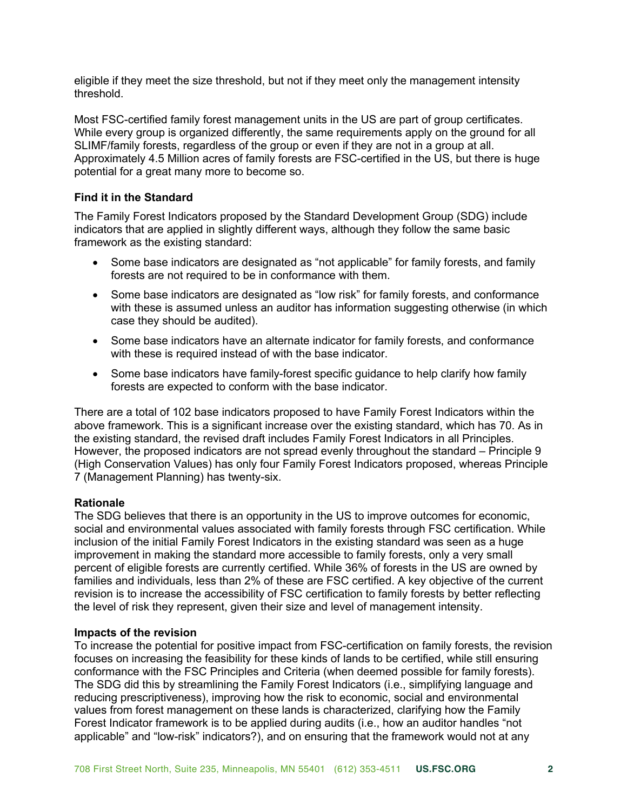eligible if they meet the size threshold, but not if they meet only the management intensity threshold.

Most FSC-certified family forest management units in the US are part of group certificates. While every group is organized differently, the same requirements apply on the ground for all SLIMF/family forests, regardless of the group or even if they are not in a group at all. Approximately 4.5 Million acres of family forests are FSC-certified in the US, but there is huge potential for a great many more to become so.

## **Find it in the Standard**

The Family Forest Indicators proposed by the Standard Development Group (SDG) include indicators that are applied in slightly different ways, although they follow the same basic framework as the existing standard:

- Some base indicators are designated as "not applicable" for family forests, and family forests are not required to be in conformance with them.
- Some base indicators are designated as "low risk" for family forests, and conformance with these is assumed unless an auditor has information suggesting otherwise (in which case they should be audited).
- Some base indicators have an alternate indicator for family forests, and conformance with these is required instead of with the base indicator.
- Some base indicators have family-forest specific guidance to help clarify how family forests are expected to conform with the base indicator.

There are a total of 102 base indicators proposed to have Family Forest Indicators within the above framework. This is a significant increase over the existing standard, which has 70. As in the existing standard, the revised draft includes Family Forest Indicators in all Principles. However, the proposed indicators are not spread evenly throughout the standard – Principle 9 (High Conservation Values) has only four Family Forest Indicators proposed, whereas Principle 7 (Management Planning) has twenty-six.

#### **Rationale**

The SDG believes that there is an opportunity in the US to improve outcomes for economic, social and environmental values associated with family forests through FSC certification. While inclusion of the initial Family Forest Indicators in the existing standard was seen as a huge improvement in making the standard more accessible to family forests, only a very small percent of eligible forests are currently certified. While 36% of forests in the US are owned by families and individuals, less than 2% of these are FSC certified. A key objective of the current revision is to increase the accessibility of FSC certification to family forests by better reflecting the level of risk they represent, given their size and level of management intensity.

#### **Impacts of the revision**

To increase the potential for positive impact from FSC-certification on family forests, the revision focuses on increasing the feasibility for these kinds of lands to be certified, while still ensuring conformance with the FSC Principles and Criteria (when deemed possible for family forests). The SDG did this by streamlining the Family Forest Indicators (i.e., simplifying language and reducing prescriptiveness), improving how the risk to economic, social and environmental values from forest management on these lands is characterized, clarifying how the Family Forest Indicator framework is to be applied during audits (i.e., how an auditor handles "not applicable" and "low-risk" indicators?), and on ensuring that the framework would not at any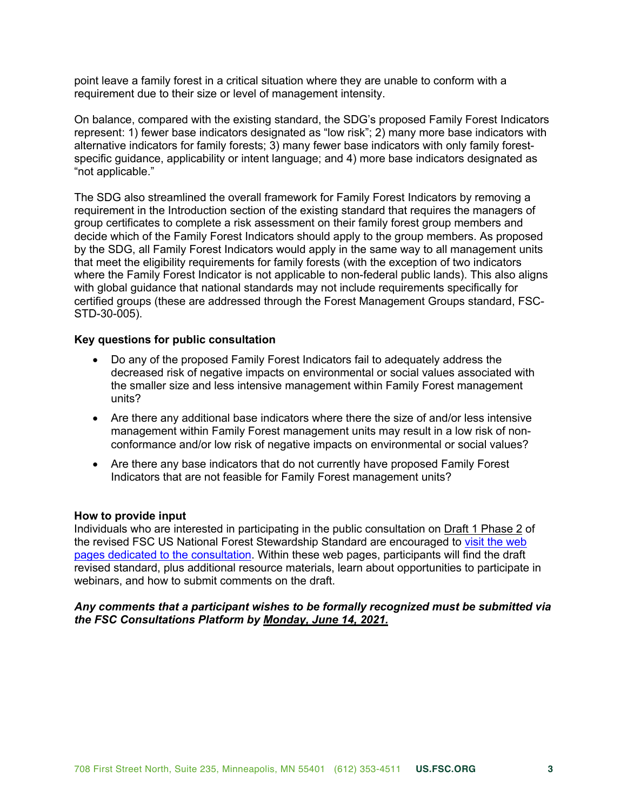point leave a family forest in a critical situation where they are unable to conform with a requirement due to their size or level of management intensity.

On balance, compared with the existing standard, the SDG's proposed Family Forest Indicators represent: 1) fewer base indicators designated as "low risk"; 2) many more base indicators with alternative indicators for family forests; 3) many fewer base indicators with only family forestspecific guidance, applicability or intent language; and 4) more base indicators designated as "not applicable."

The SDG also streamlined the overall framework for Family Forest Indicators by removing a requirement in the Introduction section of the existing standard that requires the managers of group certificates to complete a risk assessment on their family forest group members and decide which of the Family Forest Indicators should apply to the group members. As proposed by the SDG, all Family Forest Indicators would apply in the same way to all management units that meet the eligibility requirements for family forests (with the exception of two indicators where the Family Forest Indicator is not applicable to non-federal public lands). This also aligns with global guidance that national standards may not include requirements specifically for certified groups (these are addressed through the Forest Management Groups standard, FSC-STD-30-005).

#### **Key questions for public consultation**

- Do any of the proposed Family Forest Indicators fail to adequately address the decreased risk of negative impacts on environmental or social values associated with the smaller size and less intensive management within Family Forest management units?
- Are there any additional base indicators where there the size of and/or less intensive management within Family Forest management units may result in a low risk of nonconformance and/or low risk of negative impacts on environmental or social values?
- Are there any base indicators that do not currently have proposed Family Forest Indicators that are not feasible for Family Forest management units?

#### **How to provide input**

Individuals who are interested in participating in the public consultation on Draft 1 Phase 2 of the revised FSC US National Forest Stewardship Standard are encouraged to [visit the web](https://www.engage.us.fsc.org)  [pages dedicated to the consultation.](https://www.engage.us.fsc.org) Within these web pages, participants will find the draft revised standard, plus additional resource materials, learn about opportunities to participate in webinars, and how to submit comments on the draft.

### *Any comments that a participant wishes to be formally recognized must be submitted via the FSC Consultations Platform by Monday, June 14, 2021.*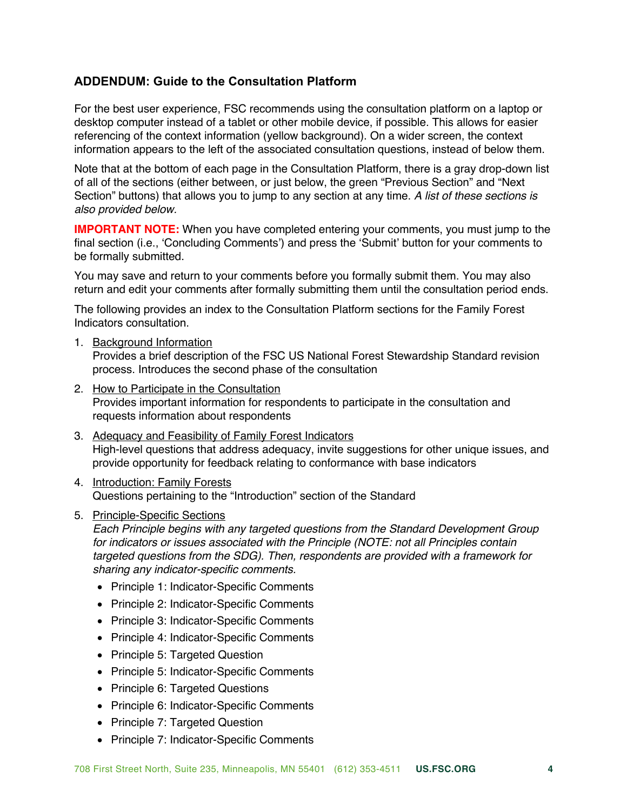# **ADDENDUM: Guide to the Consultation Platform**

For the best user experience, FSC recommends using the consultation platform on a laptop or desktop computer instead of a tablet or other mobile device, if possible. This allows for easier referencing of the context information (yellow background). On a wider screen, the context information appears to the left of the associated consultation questions, instead of below them.

Note that at the bottom of each page in the Consultation Platform, there is a gray drop-down list of all of the sections (either between, or just below, the green "Previous Section" and "Next Section" buttons) that allows you to jump to any section at any time. *A list of these sections is also provided below.*

**IMPORTANT NOTE:** When you have completed entering your comments, you must jump to the final section (i.e., 'Concluding Comments') and press the 'Submit' button for your comments to be formally submitted.

You may save and return to your comments before you formally submit them. You may also return and edit your comments after formally submitting them until the consultation period ends.

The following provides an index to the Consultation Platform sections for the Family Forest Indicators consultation.

1. Background Information

Provides a brief description of the FSC US National Forest Stewardship Standard revision process. Introduces the second phase of the consultation

- 2. How to Participate in the Consultation Provides important information for respondents to participate in the consultation and requests information about respondents
- 3. Adequacy and Feasibility of Family Forest Indicators High-level questions that address adequacy, invite suggestions for other unique issues, and provide opportunity for feedback relating to conformance with base indicators
- 4. Introduction: Family Forests Questions pertaining to the "Introduction" section of the Standard
- 5. Principle-Specific Sections

*Each Principle begins with any targeted questions from the Standard Development Group for indicators or issues associated with the Principle (NOTE: not all Principles contain targeted questions from the SDG). Then, respondents are provided with a framework for sharing any indicator-specific comments.*

- Principle 1: Indicator-Specific Comments
- Principle 2: Indicator-Specific Comments
- Principle 3: Indicator-Specific Comments
- Principle 4: Indicator-Specific Comments
- Principle 5: Targeted Question
- Principle 5: Indicator-Specific Comments
- Principle 6: Targeted Questions
- Principle 6: Indicator-Specific Comments
- Principle 7: Targeted Question
- Principle 7: Indicator-Specific Comments